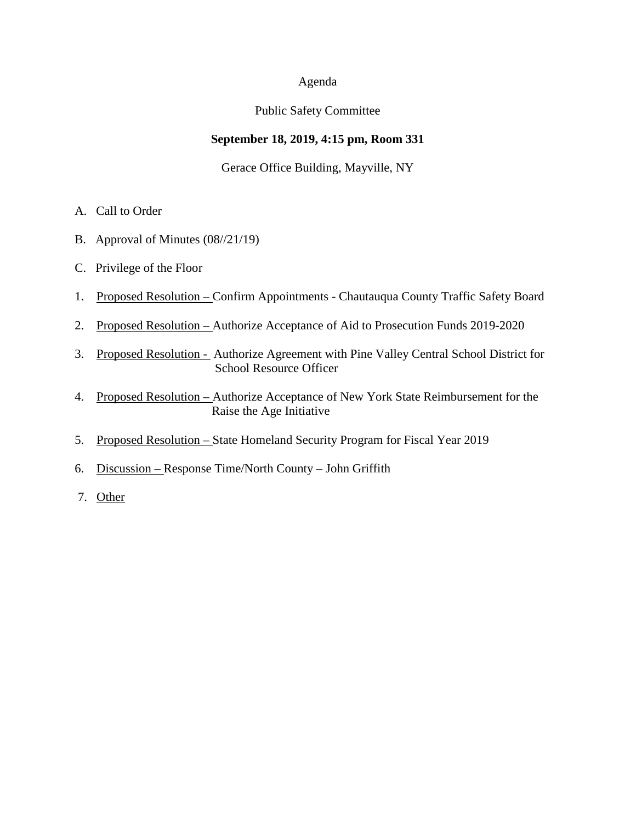#### Agenda

#### Public Safety Committee

## **September 18, 2019, 4:15 pm, Room 331**

## Gerace Office Building, Mayville, NY

- A. Call to Order
- B. Approval of Minutes (08//21/19)
- C. Privilege of the Floor
- 1. Proposed Resolution Confirm Appointments Chautauqua County Traffic Safety Board
- 2. Proposed Resolution Authorize Acceptance of Aid to Prosecution Funds 2019-2020
- 3. Proposed Resolution Authorize Agreement with Pine Valley Central School District for School Resource Officer
- 4. Proposed Resolution Authorize Acceptance of New York State Reimbursement for the Raise the Age Initiative
- 5. Proposed Resolution State Homeland Security Program for Fiscal Year 2019
- 6. Discussion Response Time/North County John Griffith
- 7. Other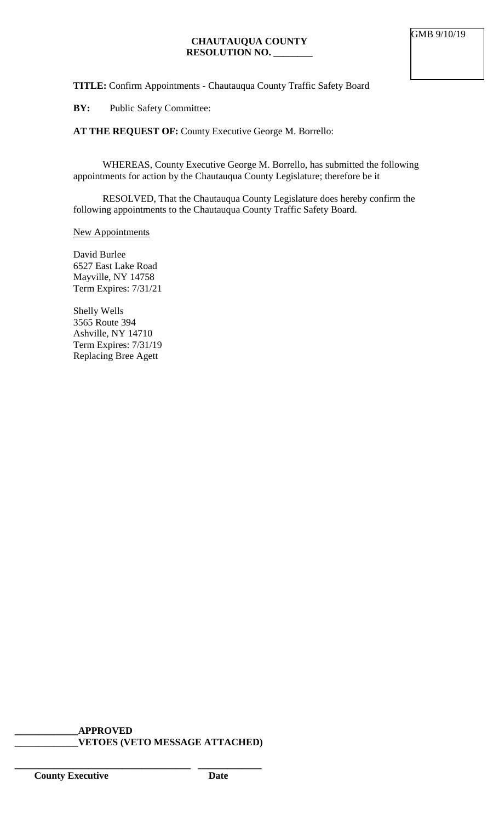**TITLE:** Confirm Appointments - Chautauqua County Traffic Safety Board

**BY:** Public Safety Committee:

**AT THE REQUEST OF:** County Executive George M. Borrello:

WHEREAS, County Executive George M. Borrello, has submitted the following appointments for action by the Chautauqua County Legislature; therefore be it

RESOLVED, That the Chautauqua County Legislature does hereby confirm the following appointments to the Chautauqua County Traffic Safety Board.

#### New Appointments

David Burlee 6527 East Lake Road Mayville, NY 14758 Term Expires: 7/31/21

Shelly Wells 3565 Route 394 Ashville, NY 14710 Term Expires: 7/31/19 Replacing Bree Agett

**\_\_\_\_\_\_\_\_\_\_\_\_\_APPROVED \_\_\_\_\_\_\_\_\_\_\_\_\_VETOES (VETO MESSAGE ATTACHED)**

**\_\_\_\_\_\_\_\_\_\_\_\_\_\_\_\_\_\_\_\_\_\_\_\_\_\_\_\_\_\_\_\_\_\_\_\_ \_\_\_\_\_\_\_\_\_\_\_\_\_**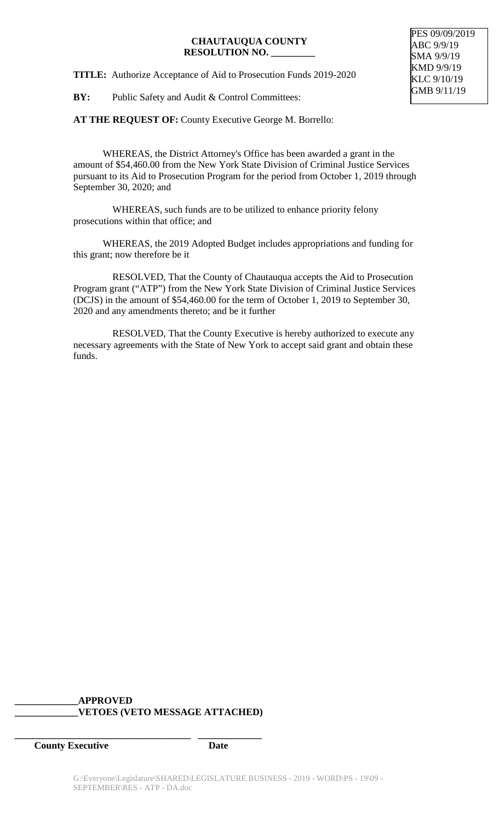#### **CHAUTAUQUA COUNTY RESOLUTION NO. \_\_\_\_\_\_\_\_\_**

**TITLE:** Authorize Acceptance of Aid to Prosecution Funds 2019-2020

**BY:** Public Safety and Audit & Control Committees:

PES 09/09/2019 ABC 9/9/19 SMA 9/9/19 KMD 9/9/19 KLC 9/10/19 GMB 9/11/19

AT THE REQUEST OF: County Executive George M. Borrello:

WHEREAS, the District Attorney's Office has been awarded a grant in the amount of \$54,460.00 from the New York State Division of Criminal Justice Services pursuant to its Aid to Prosecution Program for the period from October 1, 2019 through September 30, 2020; and

 WHEREAS, such funds are to be utilized to enhance priority felony prosecutions within that office; and

WHEREAS, the 2019 Adopted Budget includes appropriations and funding for this grant; now therefore be it

 RESOLVED, That the County of Chautauqua accepts the Aid to Prosecution Program grant ("ATP") from the New York State Division of Criminal Justice Services (DCJS) in the amount of \$54,460.00 for the term of October 1, 2019 to September 30, 2020 and any amendments thereto; and be it further

 RESOLVED, That the County Executive is hereby authorized to execute any necessary agreements with the State of New York to accept said grant and obtain these funds.

# **\_\_\_\_\_\_\_\_\_\_\_\_\_APPROVED \_\_\_\_\_\_\_\_\_\_\_\_\_VETOES (VETO MESSAGE ATTACHED)**

**\_\_\_\_\_\_\_\_\_\_\_\_\_\_\_\_\_\_\_\_\_\_\_\_\_\_\_\_\_\_\_\_\_\_\_\_ \_\_\_\_\_\_\_\_\_\_\_\_\_**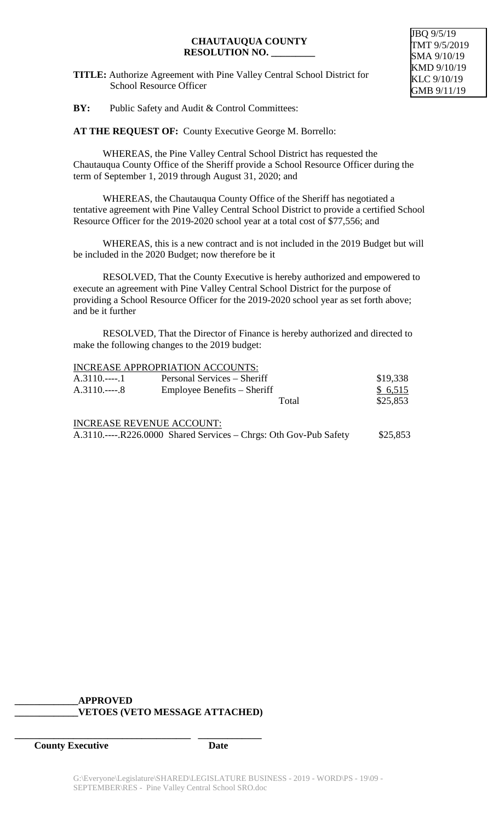#### **CHAUTAUQUA COUNTY RESOLUTION NO. \_\_\_\_\_\_\_\_\_**

**TITLE:** Authorize Agreement with Pine Valley Central School District for School Resource Officer

#### JBQ 9/5/19 TMT 9/5/2019 SMA 9/10/19 KMD 9/10/19 KLC 9/10/19 GMB 9/11/19

**BY:** Public Safety and Audit & Control Committees:

**AT THE REQUEST OF:** County Executive George M. Borrello:

WHEREAS, the Pine Valley Central School District has requested the Chautauqua County Office of the Sheriff provide a School Resource Officer during the term of September 1, 2019 through August 31, 2020; and

WHEREAS, the Chautauqua County Office of the Sheriff has negotiated a tentative agreement with Pine Valley Central School District to provide a certified School Resource Officer for the 2019-2020 school year at a total cost of \$77,556; and

WHEREAS, this is a new contract and is not included in the 2019 Budget but will be included in the 2020 Budget; now therefore be it

RESOLVED, That the County Executive is hereby authorized and empowered to execute an agreement with Pine Valley Central School District for the purpose of providing a School Resource Officer for the 2019-2020 school year as set forth above; and be it further

RESOLVED, That the Director of Finance is hereby authorized and directed to make the following changes to the 2019 budget:

|                                                                   | <b>INCREASE APPROPRIATION ACCOUNTS:</b> |          |
|-------------------------------------------------------------------|-----------------------------------------|----------|
| $A.3110.---.1$                                                    | Personal Services – Sheriff             | \$19,338 |
| $A.3110.---8$                                                     | Employee Benefits – Sheriff             | \$6,515  |
|                                                                   | Total                                   | \$25,853 |
|                                                                   | <b>INCREASE REVENUE ACCOUNT:</b>        |          |
| A.3110.----.R226.0000 Shared Services – Chrgs: Oth Gov-Pub Safety |                                         | \$25,853 |

# **\_\_\_\_\_\_\_\_\_\_\_\_\_APPROVED \_\_\_\_\_\_\_\_\_\_\_\_\_VETOES (VETO MESSAGE ATTACHED)**

**\_\_\_\_\_\_\_\_\_\_\_\_\_\_\_\_\_\_\_\_\_\_\_\_\_\_\_\_\_\_\_\_\_\_\_\_ \_\_\_\_\_\_\_\_\_\_\_\_\_**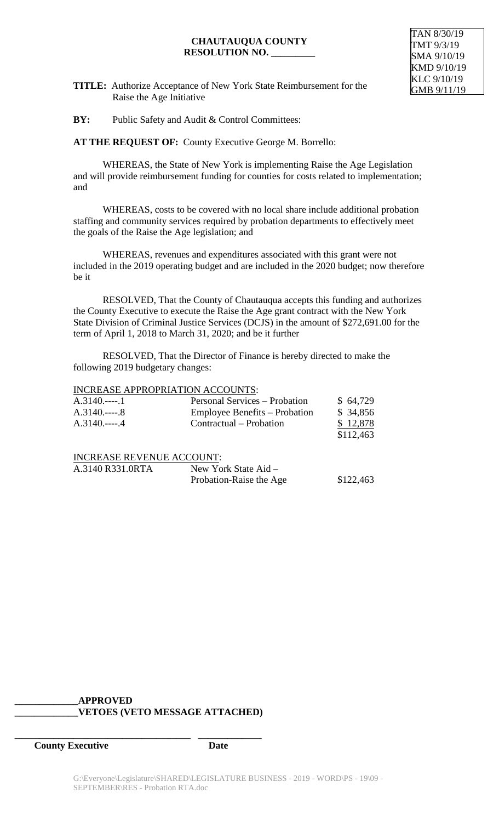#### **CHAUTAUQUA COUNTY RESOLUTION NO. \_\_\_\_\_\_\_\_\_**



**TITLE:** Authorize Acceptance of New York State Reimbursement for the Raise the Age Initiative

**BY:** Public Safety and Audit & Control Committees:

**AT THE REQUEST OF:** County Executive George M. Borrello:

WHEREAS, the State of New York is implementing Raise the Age Legislation and will provide reimbursement funding for counties for costs related to implementation; and

WHEREAS, costs to be covered with no local share include additional probation staffing and community services required by probation departments to effectively meet the goals of the Raise the Age legislation; and

WHEREAS, revenues and expenditures associated with this grant were not included in the 2019 operating budget and are included in the 2020 budget; now therefore be it

RESOLVED, That the County of Chautauqua accepts this funding and authorizes the County Executive to execute the Raise the Age grant contract with the New York State Division of Criminal Justice Services (DCJS) in the amount of \$272,691.00 for the term of April 1, 2018 to March 31, 2020; and be it further

RESOLVED, That the Director of Finance is hereby directed to make the following 2019 budgetary changes:

#### INCREASE APPROPRIATION ACCOUNTS:

| $A.3140$ 1 | Personal Services – Probation | \$64,729  |
|------------|-------------------------------|-----------|
| $A.3140$ 8 | Employee Benefits – Probation | \$ 34,856 |
| $A.3140$ 4 | Contractual – Probation       | \$12,878  |
|            |                               | \$112,463 |
|            |                               |           |

INCREASE REVENUE ACCOUNT:

| A.3140 R331.0RTA | New York State Aid –    |           |
|------------------|-------------------------|-----------|
|                  | Probation-Raise the Age | \$122,463 |

#### **\_\_\_\_\_\_\_\_\_\_\_\_\_APPROVED \_\_\_\_\_\_\_\_\_\_\_\_\_VETOES (VETO MESSAGE ATTACHED)**

**\_\_\_\_\_\_\_\_\_\_\_\_\_\_\_\_\_\_\_\_\_\_\_\_\_\_\_\_\_\_\_\_\_\_\_\_ \_\_\_\_\_\_\_\_\_\_\_\_\_**